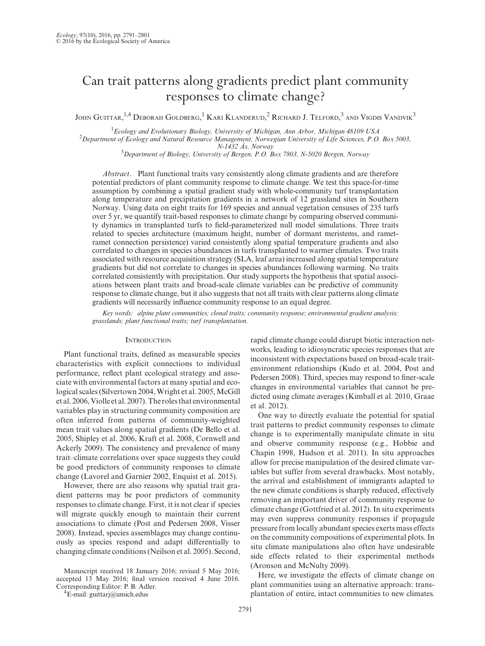# Can trait patterns along gradients predict plant community responses to climate change?

John Guittar, $^{1,4}$  Deborah Goldberg, $^1$  Kari Klanderud, $^2$  Richard J. Telford, $^3$  and Vigdis Vandvik $^3$ 

<sup>1</sup> Ecology and Evolutionary Biology, University of Michigan, Ann Arbor, Michigan 48109 USA<br><sup>2</sup> Department of Ecology and Natural Baseures Management, Namaging University of Life Sciences, B.O. *Department of Ecology and Natural Resource Management, Norwegian University of Life Sciences, P.O. Box 5003,* 

*N-1432 Ås, Norway* <sup>3</sup> *Department of Biology, University of Bergen, P.O. Box 7803, N-5020 Bergen, Norway*

*Abstract*. Plant functional traits vary consistently along climate gradients and are therefore potential predictors of plant community response to climate change. We test this space-for-time assumption by combining a spatial gradient study with whole-community turf transplantation along temperature and precipitation gradients in a network of 12 grassland sites in Southern Norway. Using data on eight traits for 169 species and annual vegetation censuses of 235 turfs over 5 yr, we quantify trait-based responses to climate change by comparing observed community dynamics in transplanted turfs to field-parameterized null model simulations. Three traits related to species architecture (maximum height, number of dormant meristems, and rametramet connection persistence) varied consistently along spatial temperature gradients and also correlated to changes in species abundances in turfs transplanted to warmer climates. Two traits associated with resource acquisition strategy (SLA, leaf area) increased along spatial temperature gradients but did not correlate to changes in species abundances following warming. No traits correlated consistently with precipitation. Our study supports the hypothesis that spatial associations between plant traits and broad-scale climate variables can be predictive of community response to climate change, but it also suggests that not all traits with clear patterns along climate gradients will necessarily influence community response to an equal degree.

*Key words: alpine plant communities; clonal traits; community response; environmental gradient analysis; grasslands; plant functional traits; turf transplantation.*

## **INTRODUCTION**

Plant functional traits, defined as measurable species characteristics with explicit connections to individual performance, reflect plant ecological strategy and associate with environmental factors at many spatial and ecological scales (Silvertown 2004, Wright et al. 2005, McGill et al. 2006, Violle et al. 2007). The roles that environmental variables play in structuring community composition are often inferred from patterns of community-weighted mean trait values along spatial gradients (De Bello et al. 2005, Shipley et al. 2006, Kraft et al. 2008, Cornwell and Ackerly 2009). The consistency and prevalence of many trait–climate correlations over space suggests they could be good predictors of community responses to climate change (Lavorel and Garnier 2002, Enquist et al. 2015).

However, there are also reasons why spatial trait gradient patterns may be poor predictors of community responses to climate change. First, it is not clear if species will migrate quickly enough to maintain their current associations to climate (Post and Pedersen 2008, Visser 2008). Instead, species assemblages may change continuously as species respond and adapt differentially to changing climate conditions (Neilson et al. 2005). Second,

Manuscript received 18 January 2016; revised 5 May 2016; accepted 13 May 2016; final version received 4 June 2016. Corresponding Editor: P. B. Adler. 4E-mail: [guittarj@umich.edus](mailto:guittarj@umich.edus)

rapid climate change could disrupt biotic interaction networks, leading to idiosyncratic species responses that are inconsistent with expectations based on broad-scale traitenvironment relationships (Kudo et al. 2004, Post and Pedersen 2008). Third, species may respond to finer-scale changes in environmental variables that cannot be predicted using climate averages (Kimball et al. 2010, Graae et al. 2012).

One way to directly evaluate the potential for spatial trait patterns to predict community responses to climate change is to experimentally manipulate climate in situ and observe community response (e.g., Hobbie and Chapin 1998, Hudson et al. 2011). In situ approaches allow for precise manipulation of the desired climate variables but suffer from several drawbacks. Most notably, the arrival and establishment of immigrants adapted to the new climate conditions is sharply reduced, effectively removing an important driver of community response to climate change (Gottfried et al. 2012). In situ experiments may even suppress community responses if propagule pressure from locally abundant species exerts mass effects on the community compositions of experimental plots. In situ climate manipulations also often have undesirable side effects related to their experimental methods (Aronson and McNulty 2009).

Here, we investigate the effects of climate change on plant communities using an alternative approach: transplantation of entire, intact communities to new climates.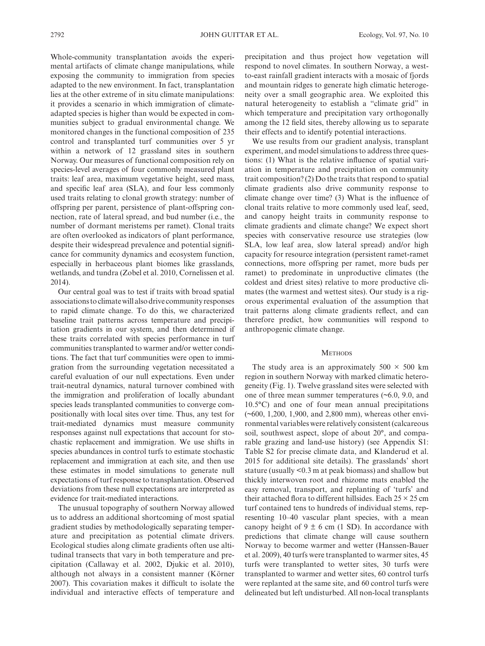Whole-community transplantation avoids the experimental artifacts of climate change manipulations, while exposing the community to immigration from species adapted to the new environment. In fact, transplantation lies at the other extreme of in situ climate manipulations: it provides a scenario in which immigration of climateadapted species is higher than would be expected in communities subject to gradual environmental change. We monitored changes in the functional composition of 235 control and transplanted turf communities over 5 yr within a network of 12 grassland sites in southern Norway. Our measures of functional composition rely on species-level averages of four commonly measured plant traits: leaf area, maximum vegetative height, seed mass, and specific leaf area (SLA), and four less commonly used traits relating to clonal growth strategy: number of offspring per parent, persistence of plant-offspring connection, rate of lateral spread, and bud number (i.e., the number of dormant meristems per ramet). Clonal traits are often overlooked as indicators of plant performance, despite their widespread prevalence and potential significance for community dynamics and ecosystem function, especially in herbaceous plant biomes like grasslands, wetlands, and tundra (Zobel et al. 2010, Cornelissen et al. 2014).

Our central goal was to test if traits with broad spatial associations to climate will also drive community responses to rapid climate change. To do this, we characterized baseline trait patterns across temperature and precipitation gradients in our system, and then determined if these traits correlated with species performance in turf communities transplanted to warmer and/or wetter conditions. The fact that turf communities were open to immigration from the surrounding vegetation necessitated a careful evaluation of our null expectations. Even under trait-neutral dynamics, natural turnover combined with the immigration and proliferation of locally abundant species leads transplanted communities to converge compositionally with local sites over time. Thus, any test for trait-mediated dynamics must measure community responses against null expectations that account for stochastic replacement and immigration. We use shifts in species abundances in control turfs to estimate stochastic replacement and immigration at each site, and then use these estimates in model simulations to generate null expectations of turf response to transplantation. Observed deviations from these null expectations are interpreted as evidence for trait-mediated interactions.

The unusual topography of southern Norway allowed us to address an additional shortcoming of most spatial gradient studies by methodologically separating temperature and precipitation as potential climate drivers. Ecological studies along climate gradients often use altitudinal transects that vary in both temperature and precipitation (Callaway et al. 2002, Djukic et al. 2010), although not always in a consistent manner (Körner 2007). This covariation makes it difficult to isolate the individual and interactive effects of temperature and precipitation and thus project how vegetation will respond to novel climates. In southern Norway, a westto-east rainfall gradient interacts with a mosaic of fjords and mountain ridges to generate high climatic heterogeneity over a small geographic area. We exploited this natural heterogeneity to establish a "climate grid" in which temperature and precipitation vary orthogonally among the 12 field sites, thereby allowing us to separate their effects and to identify potential interactions.

We use results from our gradient analysis, transplant experiment, and model simulations to address three questions: (1) What is the relative influence of spatial variation in temperature and precipitation on community trait composition? (2) Do the traits that respond to spatial climate gradients also drive community response to climate change over time? (3) What is the influence of clonal traits relative to more commonly used leaf, seed, and canopy height traits in community response to climate gradients and climate change? We expect short species with conservative resource use strategies (low SLA, low leaf area, slow lateral spread) and/or high capacity for resource integration (persistent ramet-ramet connections, more offspring per ramet, more buds per ramet) to predominate in unproductive climates (the coldest and driest sites) relative to more productive climates (the warmest and wettest sites). Our study is a rigorous experimental evaluation of the assumption that trait patterns along climate gradients reflect, and can therefore predict, how communities will respond to anthropogenic climate change.

## **METHODS**

The study area is an approximately  $500 \times 500$  km region in southern Norway with marked climatic heterogeneity (Fig. 1). Twelve grassland sites were selected with one of three mean summer temperatures (~6.0, 9.0, and 10.5°C) and one of four mean annual precipitations (~600, 1,200, 1,900, and 2,800 mm), whereas other environmental variables were relatively consistent (calcareous soil, southwest aspect, slope of about 20°, and comparable grazing and land-use history) (see Appendix S1: Table S2 for precise climate data, and Klanderud et al. 2015 for additional site details). The grasslands' short stature (usually <0.3 m at peak biomass) and shallow but thickly interwoven root and rhizome mats enabled the easy removal, transport, and replanting of 'turfs' and their attached flora to different hillsides. Each  $25 \times 25$  cm turf contained tens to hundreds of individual stems, representing 10–40 vascular plant species, with a mean canopy height of  $9 \pm 6$  cm (1 SD). In accordance with predictions that climate change will cause southern Norway to become warmer and wetter (Hanssen-Bauer et al. 2009), 40 turfs were transplanted to warmer sites, 45 turfs were transplanted to wetter sites, 30 turfs were transplanted to warmer and wetter sites, 60 control turfs were replanted at the same site, and 60 control turfs were delineated but left undisturbed. All non-local transplants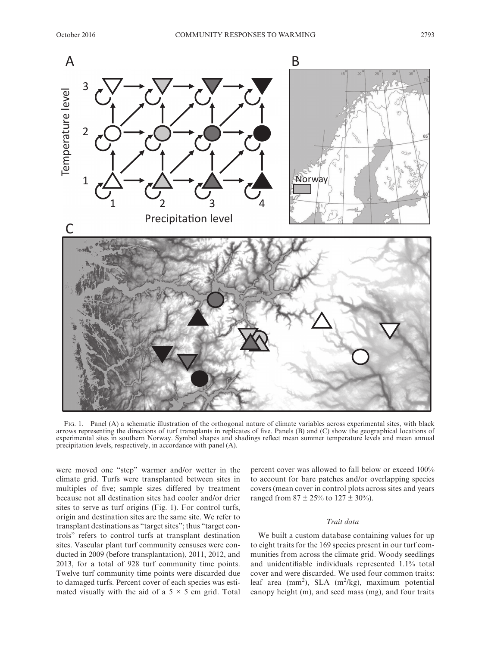

Fig. 1. Panel (A) a schematic illustration of the orthogonal nature of climate variables across experimental sites, with black arrows representing the directions of turf transplants in replicates of five. Panels (B) and (C) show the geographical locations of experimental sites in southern Norway. Symbol shapes and shadings reflect mean summer temperature levels and mean annual precipitation levels, respectively, in accordance with panel (A).

were moved one "step" warmer and/or wetter in the climate grid. Turfs were transplanted between sites in multiples of five; sample sizes differed by treatment because not all destination sites had cooler and/or drier sites to serve as turf origins (Fig. 1). For control turfs, origin and destination sites are the same site. We refer to transplant destinations as "target sites"; thus "target controls" refers to control turfs at transplant destination sites. Vascular plant turf community censuses were conducted in 2009 (before transplantation), 2011, 2012, and 2013, for a total of 928 turf community time points. Twelve turf community time points were discarded due to damaged turfs. Percent cover of each species was estimated visually with the aid of a  $5 \times 5$  cm grid. Total percent cover was allowed to fall below or exceed 100% to account for bare patches and/or overlapping species covers (mean cover in control plots across sites and years ranged from  $87 \pm 25\%$  to  $127 \pm 30\%$ ).

## *Trait data*

We built a custom database containing values for up to eight traits for the 169 species present in our turf communities from across the climate grid. Woody seedlings and unidentifiable individuals represented 1.1% total cover and were discarded. We used four common traits: leaf area  $(mm^2)$ , SLA  $(m^2/kg)$ , maximum potential canopy height (m), and seed mass (mg), and four traits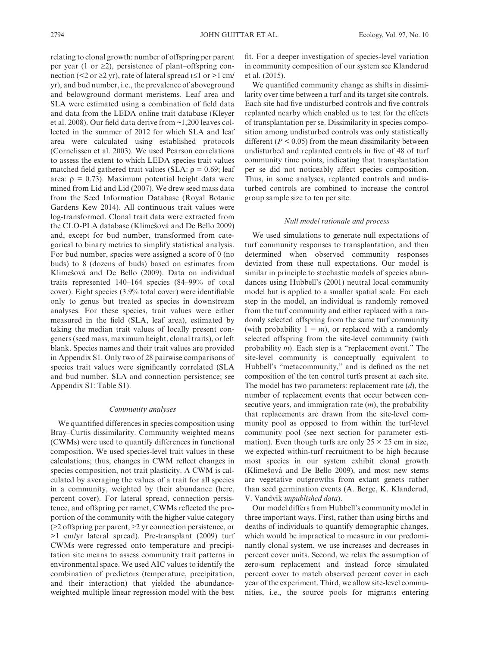relating to clonal growth: number of offspring per parent per year (1 or  $\geq$ 2), persistence of plant–offspring connection (<2 or  $\geq$ 2 yr), rate of lateral spread ( $\leq$ 1 or  $>$ 1 cm/ yr), and bud number, i.e., the prevalence of aboveground and belowground dormant meristems. Leaf area and SLA were estimated using a combination of field data and data from the LEDA online trait database (Kleyer et al. 2008). Our field data derive from ~1,200 leaves collected in the summer of 2012 for which SLA and leaf area were calculated using established protocols (Cornelissen et al. 2003). We used Pearson correlations to assess the extent to which LEDA species trait values matched field gathered trait values (SLA:  $\rho = 0.69$ ; leaf area:  $ρ = 0.73$ ). Maximum potential height data were mined from Lid and Lid (2007). We drew seed mass data from the Seed Information Database (Royal Botanic Gardens Kew 2014). All continuous trait values were log-transformed. Clonal trait data were extracted from the CLO-PLA database (Klimešová and De Bello 2009) and, except for bud number, transformed from categorical to binary metrics to simplify statistical analysis. For bud number, species were assigned a score of 0 (no buds) to 8 (dozens of buds) based on estimates from Klimešová and De Bello (2009). Data on individual traits represented 140–164 species (84–99% of total cover). Eight species (3.9% total cover) were identifiable only to genus but treated as species in downstream analyses. For these species, trait values were either measured in the field (SLA, leaf area), estimated by taking the median trait values of locally present congeners (seed mass, maximum height, clonal traits), or left blank. Species names and their trait values are provided in Appendix S1. Only two of 28 pairwise comparisons of species trait values were significantly correlated (SLA and bud number, SLA and connection persistence; see Appendix S1: Table S1).

#### *Community analyses*

We quantified differences in species composition using Bray–Curtis dissimilarity. Community weighted means (CWMs) were used to quantify differences in functional composition. We used species-level trait values in these calculations; thus, changes in CWM reflect changes in species composition, not trait plasticity. A CWM is calculated by averaging the values of a trait for all species in a community, weighted by their abundance (here, percent cover). For lateral spread, connection persistence, and offspring per ramet, CWMs reflected the proportion of the community with the higher value category (≥2 offspring per parent, ≥2 yr connection persistence, or >1 cm/yr lateral spread). Pre-transplant (2009) turf CWMs were regressed onto temperature and precipitation site means to assess community trait patterns in environmental space. We used AIC values to identify the combination of predictors (temperature, precipitation, and their interaction) that yielded the abundanceweighted multiple linear regression model with the best

fit. For a deeper investigation of species-level variation in community composition of our system see Klanderud et al. (2015).

We quantified community change as shifts in dissimilarity over time between a turf and its target site controls. Each site had five undisturbed controls and five controls replanted nearby which enabled us to test for the effects of transplantation per se. Dissimilarity in species composition among undisturbed controls was only statistically different  $(P < 0.05)$  from the mean dissimilarity between undisturbed and replanted controls in five of 48 of turf community time points, indicating that transplantation per se did not noticeably affect species composition. Thus, in some analyses, replanted controls and undisturbed controls are combined to increase the control group sample size to ten per site.

## *Null model rationale and process*

We used simulations to generate null expectations of turf community responses to transplantation, and then determined when observed community responses deviated from these null expectations. Our model is similar in principle to stochastic models of species abundances using Hubbell's (2001) neutral local community model but is applied to a smaller spatial scale. For each step in the model, an individual is randomly removed from the turf community and either replaced with a randomly selected offspring from the same turf community (with probability 1 *− m*), or replaced with a randomly selected offspring from the site-level community (with probability *m*). Each step is a "replacement event." The site-level community is conceptually equivalent to Hubbell's "metacommunity," and is defined as the net composition of the ten control turfs present at each site. The model has two parameters: replacement rate (*d*), the number of replacement events that occur between consecutive years, and immigration rate (*m*), the probability that replacements are drawn from the site-level community pool as opposed to from within the turf-level community pool (see next section for parameter estimation). Even though turfs are only  $25 \times 25$  cm in size, we expected within-turf recruitment to be high because most species in our system exhibit clonal growth (Klimešová and De Bello 2009), and most new stems are vegetative outgrowths from extant genets rather than seed germination events (A. Berge, K. Klanderud, V. Vandvik *unpublished data*).

Our model differs from Hubbell's community model in three important ways. First, rather than using births and deaths of individuals to quantify demographic changes, which would be impractical to measure in our predominantly clonal system, we use increases and decreases in percent cover units. Second, we relax the assumption of zero-sum replacement and instead force simulated percent cover to match observed percent cover in each year of the experiment. Third, we allow site-level communities, i.e., the source pools for migrants entering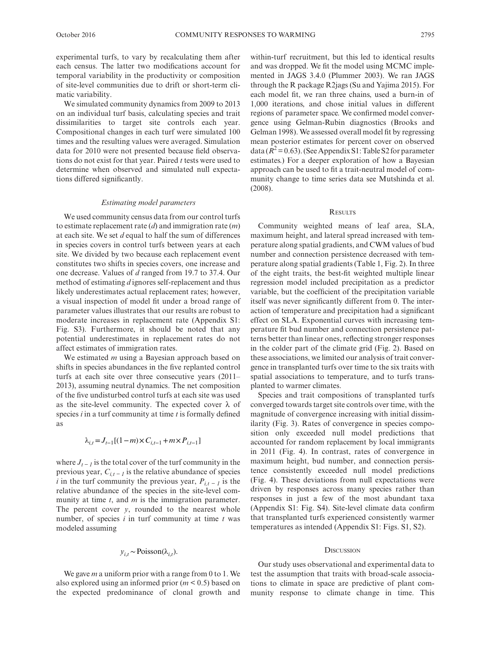We simulated community dynamics from 2009 to 2013 on an individual turf basis, calculating species and trait dissimilarities to target site controls each year. Compositional changes in each turf were simulated 100 times and the resulting values were averaged. Simulation data for 2010 were not presented because field observations do not exist for that year. Paired *t* tests were used to determine when observed and simulated null expectations differed significantly.

# *Estimating model parameters*

We used community census data from our control turfs to estimate replacement rate (*d*) and immigration rate (*m*) at each site. We set *d* equal to half the sum of differences in species covers in control turfs between years at each site. We divided by two because each replacement event constitutes two shifts in species covers, one increase and one decrease. Values of *d* ranged from 19.7 to 37.4. Our method of estimating *d* ignores self-replacement and thus likely underestimates actual replacement rates; however, a visual inspection of model fit under a broad range of parameter values illustrates that our results are robust to moderate increases in replacement rate (Appendix S1: Fig. S3). Furthermore, it should be noted that any potential underestimates in replacement rates do not affect estimates of immigration rates.

We estimated *m* using a Bayesian approach based on shifts in species abundances in the five replanted control turfs at each site over three consecutive years (2011– 2013), assuming neutral dynamics. The net composition of the five undisturbed control turfs at each site was used as the site-level community. The expected cover  $\lambda$  of species *i* in a turf community at time *t* is formally defined as

$$
\lambda_{i,t} = J_{t-1}[(1-m)\times C_{i,t-1} + m\times P_{i,t-1}]
$$

where  $J_{t-1}$  is the total cover of the turf community in the previous year,  $C_{i,t-1}$  is the relative abundance of species *i* in the turf community the previous year,  $P_{i,t-1}$  is the relative abundance of the species in the site-level community at time *t*, and *m* is the immigration parameter. The percent cover  $y$ , rounded to the nearest whole number, of species *i* in turf community at time *t* was modeled assuming

# $y_{i}$ <sup>*t*</sup> ∼Poisson( $λ_{i}$ <sup>*t*</sup>).

We gave *m* a uniform prior with a range from 0 to 1. We also explored using an informed prior (*m* < 0.5) based on the expected predominance of clonal growth and

within-turf recruitment, but this led to identical results and was dropped. We fit the model using MCMC implemented in JAGS 3.4.0 (Plummer 2003). We ran JAGS through the R package R2jags (Su and Yajima 2015). For each model fit, we ran three chains, used a burn-in of 1,000 iterations, and chose initial values in different regions of parameter space. We confirmed model convergence using Gelman-Rubin diagnostics (Brooks and Gelman 1998). We assessed overall model fit by regressing mean posterior estimates for percent cover on observed data ( $R^2$ =0.63). (See Appendix S1: Table S2 for parameter estimates.) For a deeper exploration of how a Bayesian approach can be used to fit a trait-neutral model of community change to time series data see Mutshinda et al. (2008).

#### **RESULTS**

Community weighted means of leaf area, SLA, maximum height, and lateral spread increased with temperature along spatial gradients, and CWM values of bud number and connection persistence decreased with temperature along spatial gradients (Table 1, Fig. 2). In three of the eight traits, the best-fit weighted multiple linear regression model included precipitation as a predictor variable, but the coefficient of the precipitation variable itself was never significantly different from 0. The interaction of temperature and precipitation had a significant effect on SLA. Exponential curves with increasing temperature fit bud number and connection persistence patterns better than linear ones, reflecting stronger responses in the colder part of the climate grid (Fig. 2). Based on these associations, we limited our analysis of trait convergence in transplanted turfs over time to the six traits with spatial associations to temperature, and to turfs transplanted to warmer climates.

Species and trait compositions of transplanted turfs converged towards target site controls over time, with the magnitude of convergence increasing with initial dissimilarity (Fig. 3). Rates of convergence in species composition only exceeded null model predictions that accounted for random replacement by local immigrants in 2011 (Fig. 4). In contrast, rates of convergence in maximum height, bud number, and connection persistence consistently exceeded null model predictions (Fig. 4). These deviations from null expectations were driven by responses across many species rather than responses in just a few of the most abundant taxa (Appendix S1: Fig. S4). Site-level climate data confirm that transplanted turfs experienced consistently warmer temperatures as intended (Appendix S1: Figs. S1, S2).

#### **DISCUSSION**

Our study uses observational and experimental data to test the assumption that traits with broad-scale associations to climate in space are predictive of plant community response to climate change in time. This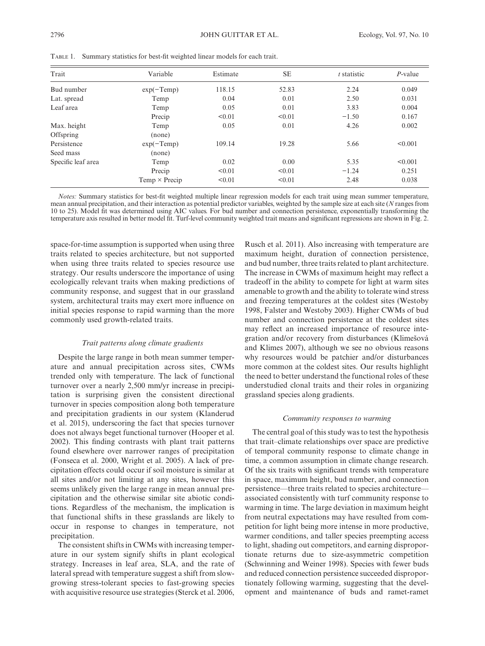| Trait              | Variable             | Estimate | <b>SE</b> | $t$ statistic | $P$ -value |
|--------------------|----------------------|----------|-----------|---------------|------------|
| Bud number         | $exp(-Temp)$         | 118.15   | 52.83     | 2.24          | 0.049      |
| Lat. spread        | Temp                 | 0.04     | 0.01      | 2.50          | 0.031      |
| Leaf area          | Temp                 | 0.05     | 0.01      | 3.83          | 0.004      |
|                    | Precip               | < 0.01   | < 0.01    | $-1.50$       | 0.167      |
| Max. height        | Temp                 | 0.05     | 0.01      | 4.26          | 0.002      |
| Offspring          | (none)               |          |           |               |            |
| Persistence        | $exp(-Temp)$         | 109.14   | 19.28     | 5.66          | < 0.001    |
| Seed mass          | (none)               |          |           |               |            |
| Specific leaf area | Temp                 | 0.02     | 0.00      | 5.35          | < 0.001    |
|                    | Precip               | < 0.01   | < 0.01    | $-1.24$       | 0.251      |
|                    | Temp $\times$ Precip | < 0.01   | < 0.01    | 2.48          | 0.038      |

Table 1. Summary statistics for best-fit weighted linear models for each trait.

*Notes:* Summary statistics for best-fit weighted multiple linear regression models for each trait using mean summer temperature, mean annual precipitation, and their interaction as potential predictor variables, weighted by the sample size at each site (*N* ranges from 10 to 25). Model fit was determined using AIC values. For bud number and connection persistence, exponentially transforming the temperature axis resulted in better model fit. Turf-level community weighted trait means and significant regressions are shown in Fig. 2.

space-for-time assumption is supported when using three traits related to species architecture, but not supported when using three traits related to species resource use strategy. Our results underscore the importance of using ecologically relevant traits when making predictions of community response, and suggest that in our grassland system, architectural traits may exert more influence on initial species response to rapid warming than the more commonly used growth-related traits.

#### *Trait patterns along climate gradients*

Despite the large range in both mean summer temperature and annual precipitation across sites, CWMs trended only with temperature. The lack of functional turnover over a nearly 2,500 mm/yr increase in precipitation is surprising given the consistent directional turnover in species composition along both temperature and precipitation gradients in our system (Klanderud et al. 2015), underscoring the fact that species turnover does not always beget functional turnover (Hooper et al. 2002). This finding contrasts with plant trait patterns found elsewhere over narrower ranges of precipitation (Fonseca et al. 2000, Wright et al. 2005). A lack of precipitation effects could occur if soil moisture is similar at all sites and/or not limiting at any sites, however this seems unlikely given the large range in mean annual precipitation and the otherwise similar site abiotic conditions. Regardless of the mechanism, the implication is that functional shifts in these grasslands are likely to occur in response to changes in temperature, not precipitation.

The consistent shifts in CWMs with increasing temperature in our system signify shifts in plant ecological strategy. Increases in leaf area, SLA, and the rate of lateral spread with temperature suggest a shift from slowgrowing stress-tolerant species to fast-growing species with acquisitive resource use strategies (Sterck et al. 2006,

Rusch et al. 2011). Also increasing with temperature are maximum height, duration of connection persistence, and bud number, three traits related to plant architecture. The increase in CWMs of maximum height may reflect a tradeoff in the ability to compete for light at warm sites amenable to growth and the ability to tolerate wind stress and freezing temperatures at the coldest sites (Westoby 1998, Falster and Westoby 2003). Higher CWMs of bud number and connection persistence at the coldest sites may reflect an increased importance of resource integration and/or recovery from disturbances (Klimešová and Klimes 2007), although we see no obvious reasons why resources would be patchier and/or disturbances more common at the coldest sites. Our results highlight the need to better understand the functional roles of these understudied clonal traits and their roles in organizing grassland species along gradients.

#### *Community responses to warming*

The central goal of this study was to test the hypothesis that trait–climate relationships over space are predictive of temporal community response to climate change in time, a common assumption in climate change research. Of the six traits with significant trends with temperature in space, maximum height, bud number, and connection persistence—three traits related to species architecture associated consistently with turf community response to warming in time. The large deviation in maximum height from neutral expectations may have resulted from competition for light being more intense in more productive, warmer conditions, and taller species preempting access to light, shading out competitors, and earning disproportionate returns due to size-asymmetric competition (Schwinning and Weiner 1998). Species with fewer buds and reduced connection persistence succeeded disproportionately following warming, suggesting that the development and maintenance of buds and ramet-ramet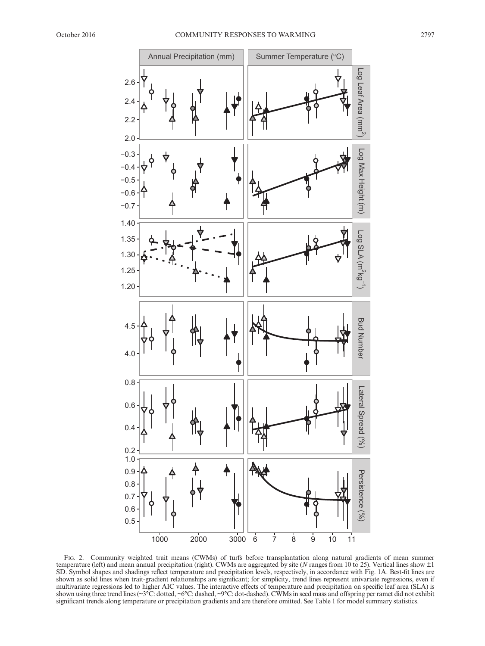

Fig. 2. Community weighted trait means (CWMs) of turfs before transplantation along natural gradients of mean summer temperature (left) and mean annual precipitation (right). CWMs are aggregated by site (*N* ranges from 10 to 25). Vertical lines show ±1 SD. Symbol shapes and shadings reflect temperature and precipitation levels, respectively, in accordance with Fig. 1A. Best-fit lines are shown as solid lines when trait-gradient relationships are significant; for simplicity, trend lines represent univariate regressions, even if multivariate regressions led to higher AIC values. The interactive effects of temperature and precipitation on specific leaf area (SLA) is shown using three trend lines (~3°C: dotted, ~6°C: dashed, ~9°C: dot-dashed). CWMs in seed mass and offspring per ramet did not exhibit significant trends along temperature or precipitation gradients and are therefore omitted. See Table 1 for model summary statistics.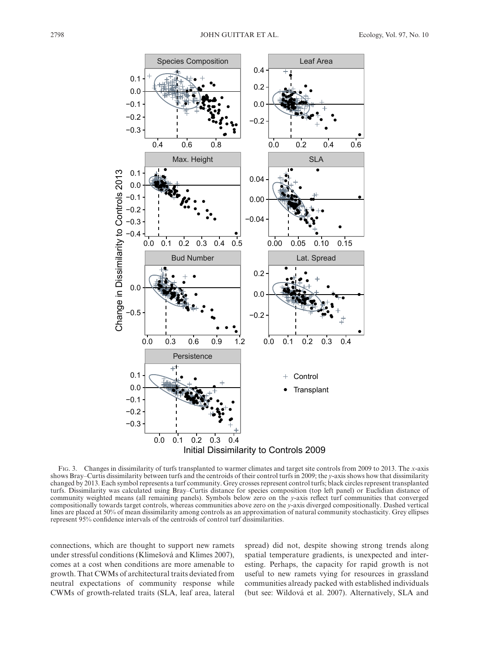

Fig. 3. Changes in dissimilarity of turfs transplanted to warmer climates and target site controls from 2009 to 2013. The *x*-axis shows Bray–Curtis dissimilarity between turfs and the centroids of their control turfs in 2009; the *y*-axis shows how that dissimilarity changed by 2013. Each symbol represents a turf community. Grey crosses represent control turfs; black circles represent transplanted turfs. Dissimilarity was calculated using Bray–Curtis distance for species composition (top left panel) or Euclidian distance of community weighted means (all remaining panels). Symbols below zero on the *y*-axis reflect turf communities that converged compositionally towards target controls, whereas communities above zero on the *y*-axis diverged compositionally. Dashed vertical lines are placed at 50% of mean dissimilarity among controls as an approximation of natural community stochasticity. Grey ellipses represent 95% confidence intervals of the centroids of control turf dissimilarities.

connections, which are thought to support new ramets under stressful conditions (Klimešová and Klimes 2007), comes at a cost when conditions are more amenable to growth. That CWMs of architectural traits deviated from neutral expectations of community response while CWMs of growth-related traits (SLA, leaf area, lateral spread) did not, despite showing strong trends along spatial temperature gradients, is unexpected and interesting. Perhaps, the capacity for rapid growth is not useful to new ramets vying for resources in grassland communities already packed with established individuals (but see: Wildová et al. 2007). Alternatively, SLA and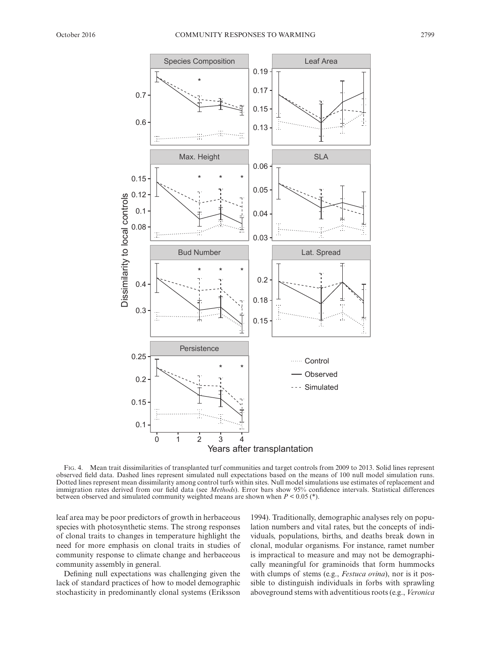

Fig. 4. Mean trait dissimilarities of transplanted turf communities and target controls from 2009 to 2013. Solid lines represent observed field data. Dashed lines represent simulated null expectations based on the means of 100 null model simulation runs. Dotted lines represent mean dissimilarity among control turfs within sites. Null model simulations use estimates of replacement and immigration rates derived from our field data (see *Methods*). Error bars show 95% confidence intervals. Statistical differences between observed and simulated community weighted means are shown when  $P < 0.05$  (\*).

leaf area may be poor predictors of growth in herbaceous species with photosynthetic stems. The strong responses of clonal traits to changes in temperature highlight the need for more emphasis on clonal traits in studies of community response to climate change and herbaceous community assembly in general.

Defining null expectations was challenging given the lack of standard practices of how to model demographic stochasticity in predominantly clonal systems (Eriksson 1994). Traditionally, demographic analyses rely on population numbers and vital rates, but the concepts of individuals, populations, births, and deaths break down in clonal, modular organisms. For instance, ramet number is impractical to measure and may not be demographically meaningful for graminoids that form hummocks with clumps of stems (e.g., *Festuca ovina*), nor is it possible to distinguish individuals in forbs with sprawling aboveground stems with adventitious roots (e.g., *Veronica*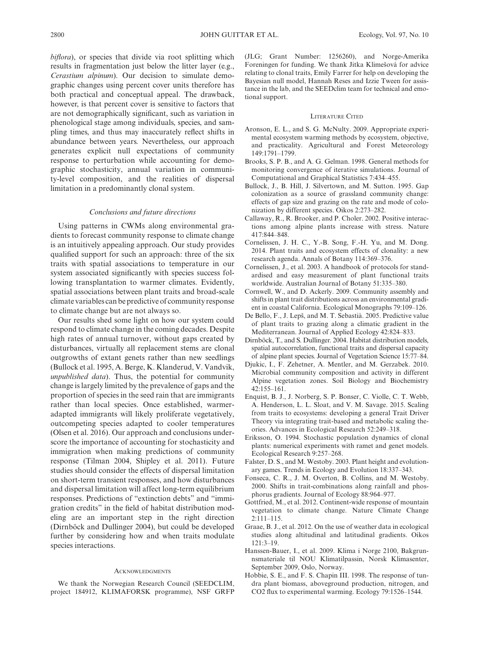*biflora*), or species that divide via root splitting which results in fragmentation just below the litter layer (e.g., *Cerastium alpinum*). Our decision to simulate demographic changes using percent cover units therefore has both practical and conceptual appeal. The drawback, however, is that percent cover is sensitive to factors that are not demographically significant, such as variation in phenological stage among individuals, species, and sampling times, and thus may inaccurately reflect shifts in abundance between years. Nevertheless, our approach generates explicit null expectations of community response to perturbation while accounting for demographic stochasticity, annual variation in community-level composition, and the realities of dispersal limitation in a predominantly clonal system.

## *Conclusions and future directions*

Using patterns in CWMs along environmental gradients to forecast community response to climate change is an intuitively appealing approach. Our study provides qualified support for such an approach: three of the six traits with spatial associations to temperature in our system associated significantly with species success following transplantation to warmer climates. Evidently, spatial associations between plant traits and broad-scale climate variables can be predictive of community response to climate change but are not always so.

Our results shed some light on how our system could respond to climate change in the coming decades. Despite high rates of annual turnover, without gaps created by disturbances, virtually all replacement stems are clonal outgrowths of extant genets rather than new seedlings (Bullock et al. 1995, A. Berge, K. Klanderud, V. Vandvik, *unpublished data*). Thus, the potential for community change is largely limited by the prevalence of gaps and the proportion of species in the seed rain that are immigrants rather than local species. Once established, warmeradapted immigrants will likely proliferate vegetatively, outcompeting species adapted to cooler temperatures (Olsen et al. 2016). Our approach and conclusions underscore the importance of accounting for stochasticity and immigration when making predictions of community response (Tilman 2004, Shipley et al. 2011). Future studies should consider the effects of dispersal limitation on short-term transient responses, and how disturbances and dispersal limitation will affect long-term equilibrium responses. Predictions of "extinction debts" and "immigration credits" in the field of habitat distribution modeling are an important step in the right direction (Dirnböck and Dullinger 2004), but could be developed further by considering how and when traits modulate species interactions.

#### **ACKNOWLEDGMENTS**

We thank the Norwegian Research Council (SEEDCLIM, project 184912, KLIMAFORSK programme), NSF GRFP (JLG; Grant Number: 1256260), and Norge-Amerika Foreningen for funding. We thank Jitka Klimešová for advice relating to clonal traits, Emily Farrer for help on developing the Bayesian null model, Hannah Reses and Izzie Tween for assistance in the lab, and the SEEDclim team for technical and emotional support.

#### Literature Cited

- Aronson, E. L., and S. G. McNulty. 2009. Appropriate experimental ecosystem warming methods by ecosystem, objective, and practicality. Agricultural and Forest Meteorology 149:1791–1799.
- Brooks, S. P. B., and A. G. Gelman. 1998. General methods for monitoring convergence of iterative simulations. Journal of Computational and Graphical Statistics 7:434–455.
- Bullock, J., B. Hill, J. Silvertown, and M. Sutton. 1995. Gap colonization as a source of grassland community change: effects of gap size and grazing on the rate and mode of colonization by different species. Oikos 2:273–282.
- Callaway, R., R. Brooker, and P. Choler. 2002. Positive interactions among alpine plants increase with stress. Nature 417:844–848.
- Cornelissen, J. H. C., Y.-B. Song, F.-H. Yu, and M. Dong. 2014. Plant traits and ecosystem effects of clonality: a new research agenda. Annals of Botany 114:369–376.
- Cornelissen, J., et al. 2003. A handbook of protocols for standardised and easy measurement of plant functional traits worldwide. Australian Journal of Botany 51:335–380.
- Cornwell, W., and D. Ackerly. 2009. Community assembly and shifts in plant trait distributions across an environmental gradient in coastal California. Ecological Monographs 79:109–126.
- De Bello, F., J. Lepš, and M. T. Sebastià. 2005. Predictive value of plant traits to grazing along a climatic gradient in the Mediterranean. Journal of Applied Ecology 42:824–833.
- Dirnböck, T., and S. Dullinger. 2004. Habitat distribution models, spatial autocorrelation, functional traits and dispersal capacity of alpine plant species. Journal of Vegetation Science 15:77–84.
- Djukic, I., F. Zehetner, A. Mentler, and M. Gerzabek. 2010. Microbial community composition and activity in different Alpine vegetation zones. Soil Biology and Biochemistry 42:155–161.
- Enquist, B. J., J. Norberg, S. P. Bonser, C. Violle, C. T. Webb, A. Henderson, L. L. Sloat, and V. M. Savage. 2015. Scaling from traits to ecosystems: developing a general Trait Driver Theory via integrating trait-based and metabolic scaling theories. Advances in Ecological Research 52:249–318.
- Eriksson, O. 1994. Stochastic population dynamics of clonal plants: numerical experiments with ramet and genet models. Ecological Research 9:257–268.
- Falster, D. S., and M. Westoby. 2003. Plant height and evolutionary games. Trends in Ecology and Evolution 18:337–343.
- Fonseca, C. R., J. M. Overton, B. Collins, and M. Westoby. 2000. Shifts in trait-combinations along rainfall and phosphorus gradients. Journal of Ecology 88:964–977.
- Gottfried, M., et al. 2012. Continent-wide response of mountain vegetation to climate change. Nature Climate Change 2:111–115.
- Graae, B. J., et al. 2012. On the use of weather data in ecological studies along altitudinal and latitudinal gradients. Oikos 121:3–19.
- Hanssen-Bauer, I., et al. 2009. Klima i Norge 2100, Bakgrunnsmateriale til NOU Klimatilpassin, Norsk Klimasenter, September 2009, Oslo, Norway.
- Hobbie, S. E., and F. S. Chapin III. 1998. The response of tundra plant biomass, aboveground production, nitrogen, and CO2 flux to experimental warming. Ecology 79:1526–1544.